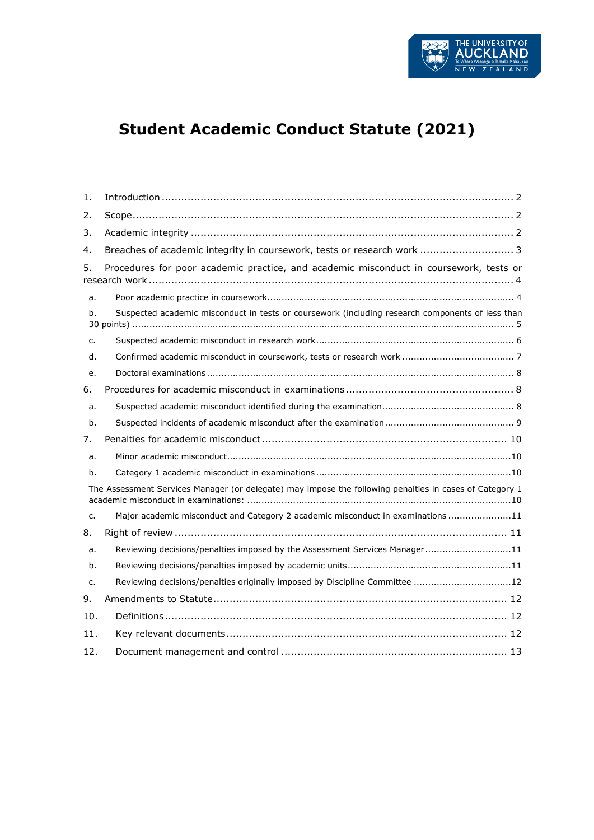

# **Student Academic Conduct Statute (2021)**

| 1.                                                                                                      |                                                                                                  |
|---------------------------------------------------------------------------------------------------------|--------------------------------------------------------------------------------------------------|
| 2.                                                                                                      |                                                                                                  |
| 3.                                                                                                      |                                                                                                  |
| 4.                                                                                                      | Breaches of academic integrity in coursework, tests or research work  3                          |
| 5.                                                                                                      | Procedures for poor academic practice, and academic misconduct in coursework, tests or           |
| a.                                                                                                      |                                                                                                  |
| b.                                                                                                      | Suspected academic misconduct in tests or coursework (including research components of less than |
| $C_{1}$                                                                                                 |                                                                                                  |
| d.                                                                                                      |                                                                                                  |
| e.                                                                                                      |                                                                                                  |
| 6.                                                                                                      |                                                                                                  |
| a.                                                                                                      |                                                                                                  |
| b.                                                                                                      |                                                                                                  |
| 7.                                                                                                      |                                                                                                  |
| a.                                                                                                      |                                                                                                  |
| b.                                                                                                      |                                                                                                  |
| The Assessment Services Manager (or delegate) may impose the following penalties in cases of Category 1 |                                                                                                  |
| $C_{1}$                                                                                                 | Major academic misconduct and Category 2 academic misconduct in examinations 11                  |
| 8.                                                                                                      |                                                                                                  |
| a.                                                                                                      | Reviewing decisions/penalties imposed by the Assessment Services Manager11                       |
| b.                                                                                                      |                                                                                                  |
| $C_{1}$                                                                                                 | Reviewing decisions/penalties originally imposed by Discipline Committee 12                      |
| 9.                                                                                                      |                                                                                                  |
| 10.                                                                                                     |                                                                                                  |
| 11.                                                                                                     |                                                                                                  |
| 12.                                                                                                     |                                                                                                  |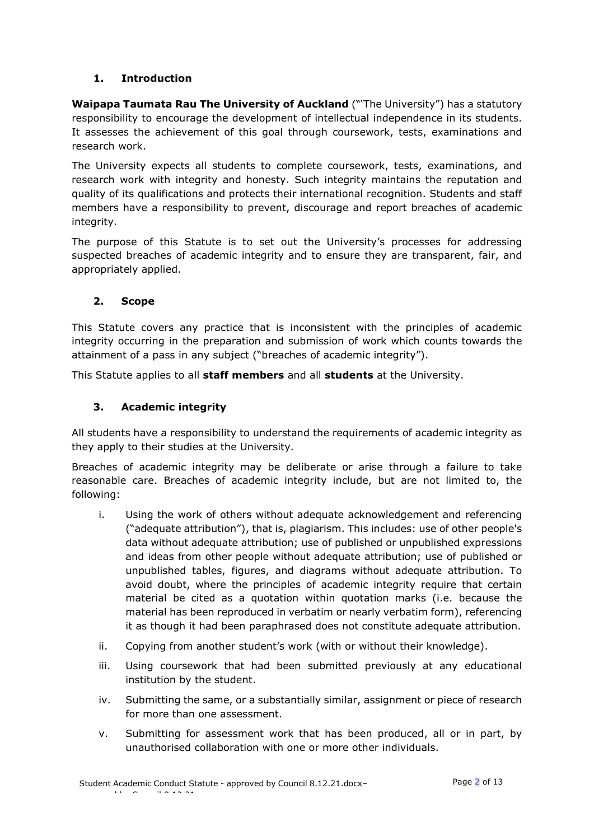# <span id="page-1-0"></span>**1. Introduction**

**Waipapa Taumata Rau The University of Auckland** ("'The University") has a statutory responsibility to encourage the development of intellectual independence in its students. It assesses the achievement of this goal through coursework, tests, examinations and research work.

The University expects all students to complete coursework, tests, examinations, and research work with integrity and honesty. Such integrity maintains the reputation and quality of its qualifications and protects their international recognition. Students and staff members have a responsibility to prevent, discourage and report breaches of academic integrity.

The purpose of this Statute is to set out the University's processes for addressing suspected breaches of academic integrity and to ensure they are transparent, fair, and appropriately applied.

#### <span id="page-1-1"></span>**2. Scope**

This Statute covers any practice that is inconsistent with the principles of academic integrity occurring in the preparation and submission of work which counts towards the attainment of a pass in any subject ("breaches of academic integrity").

<span id="page-1-2"></span>This Statute applies to all **staff members** and all **students** at the University.

# **3. Academic integrity**

All students have a responsibility to understand the requirements of academic integrity as they apply to their studies at the University.

Breaches of academic integrity may be deliberate or arise through a failure to take reasonable care. Breaches of academic integrity include, but are not limited to, the following:

- i. Using the work of others without adequate acknowledgement and referencing ("adequate attribution"), that is, plagiarism. This includes: use of other people's data without adequate attribution; use of published or unpublished expressions and ideas from other people without adequate attribution; use of published or unpublished tables, figures, and diagrams without adequate attribution. To avoid doubt, where the principles of academic integrity require that certain material be cited as a quotation within quotation marks (i.e. because the material has been reproduced in verbatim or nearly verbatim form), referencing it as though it had been paraphrased does not constitute adequate attribution.
- ii. Copying from another student's work (with or without their knowledge).
- iii. Using coursework that had been submitted previously at any educational institution by the student.
- iv. Submitting the same, or a substantially similar, assignment or piece of research for more than one assessment.
- v. Submitting for assessment work that has been produced, all or in part, by unauthorised collaboration with one or more other individuals.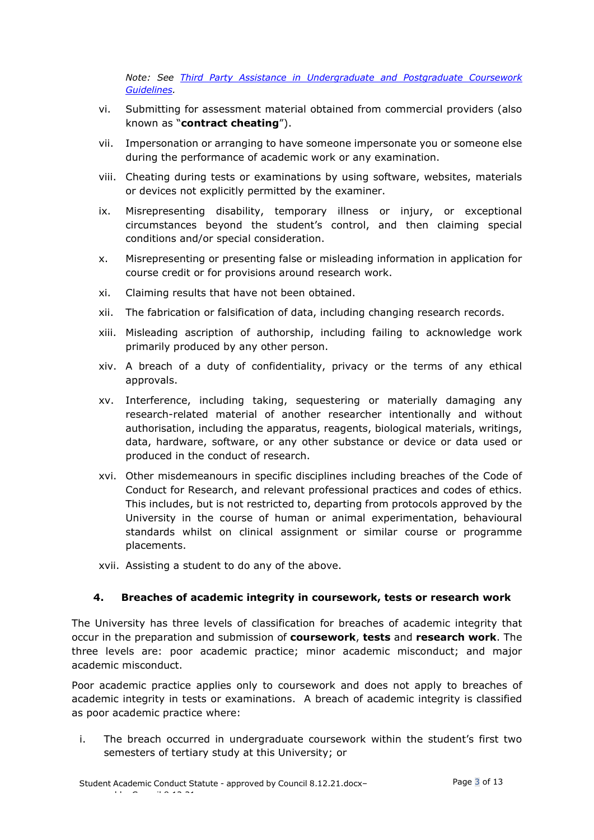*Note: See [Third Party Assistance in Undergraduate and Postgraduate Coursework](https://www.auckland.ac.nz/en/about/the-university/how-university-works/policy-and-administration/teaching-and-learning/students/third-party-coursework.html)  [Guidelines.](https://www.auckland.ac.nz/en/about/the-university/how-university-works/policy-and-administration/teaching-and-learning/students/third-party-coursework.html)* 

- vi. Submitting for assessment material obtained from commercial providers (also known as "**contract cheating**").
- vii. Impersonation or arranging to have someone impersonate you or someone else during the performance of academic work or any examination.
- viii. Cheating during tests or examinations by using software, websites, materials or devices not explicitly permitted by the examiner.
- ix. Misrepresenting disability, temporary illness or injury, or exceptional circumstances beyond the student's control, and then claiming special conditions and/or special consideration.
- x. Misrepresenting or presenting false or misleading information in application for course credit or for provisions around research work.
- xi. Claiming results that have not been obtained.
- xii. The fabrication or falsification of data, including changing research records.
- xiii. Misleading ascription of authorship, including failing to acknowledge work primarily produced by any other person.
- xiv. A breach of a duty of confidentiality, privacy or the terms of any ethical approvals.
- xv. Interference, including taking, sequestering or materially damaging any research-related material of another researcher intentionally and without authorisation, including the apparatus, reagents, biological materials, writings, data, hardware, software, or any other substance or device or data used or produced in the conduct of research.
- xvi. Other misdemeanours in specific disciplines including breaches of the Code of Conduct for Research, and relevant professional practices and codes of ethics. This includes, but is not restricted to, departing from protocols approved by the University in the course of human or animal experimentation, behavioural standards whilst on clinical assignment or similar course or programme placements.
- xvii. Assisting a student to do any of the above.

#### <span id="page-2-0"></span>**4. Breaches of academic integrity in coursework, tests or research work**

The University has three levels of classification for breaches of academic integrity that occur in the preparation and submission of **coursework**, **tests** and **research work**. The three levels are: poor academic practice; minor academic misconduct; and major academic misconduct.

Poor academic practice applies only to coursework and does not apply to breaches of academic integrity in tests or examinations. A breach of academic integrity is classified as poor academic practice where:

i. The breach occurred in undergraduate coursework within the student's first two semesters of tertiary study at this University; or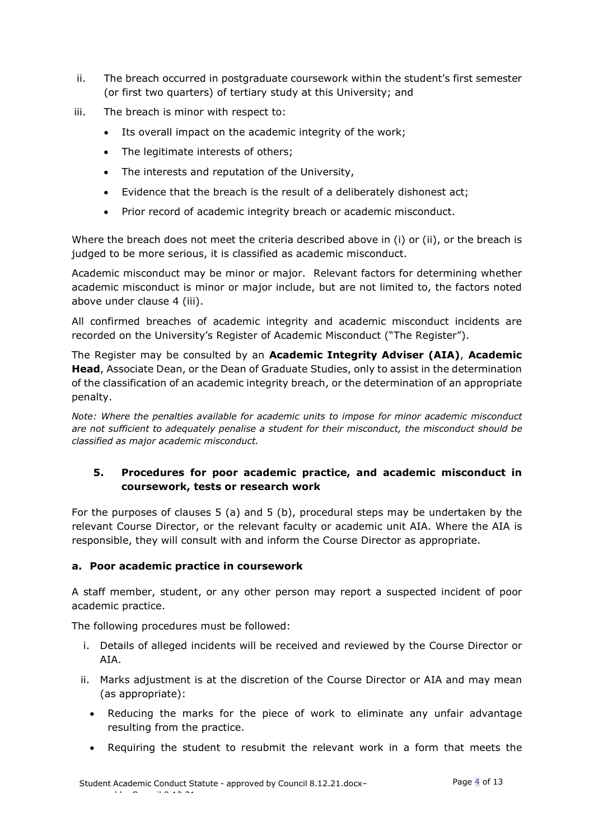- ii. The breach occurred in postgraduate coursework within the student's first semester (or first two quarters) of tertiary study at this University; and
- iii. The breach is minor with respect to:
	- Its overall impact on the academic integrity of the work;
	- The legitimate interests of others;
	- The interests and reputation of the University,
	- Evidence that the breach is the result of a deliberately dishonest act;
	- Prior record of academic integrity breach or academic misconduct.

Where the breach does not meet the criteria described above in (i) or (ii), or the breach is judged to be more serious, it is classified as academic misconduct.

Academic misconduct may be minor or major. Relevant factors for determining whether academic misconduct is minor or major include, but are not limited to, the factors noted above under clause 4 (iii).

All confirmed breaches of academic integrity and academic misconduct incidents are recorded on the University's Register of Academic Misconduct ("The Register").

The Register may be consulted by an **Academic Integrity Adviser (AIA)**, **Academic Head**, Associate Dean, or the Dean of Graduate Studies, only to assist in the determination of the classification of an academic integrity breach, or the determination of an appropriate penalty.

*Note: Where the penalties available for academic units to impose for minor academic misconduct are not sufficient to adequately penalise a student for their misconduct, the misconduct should be classified as major academic misconduct.*

#### <span id="page-3-0"></span>**5. Procedures for poor academic practice, and academic misconduct in coursework, tests or research work**

For the purposes of clauses 5 (a) and 5 (b), procedural steps may be undertaken by the relevant Course Director, or the relevant faculty or academic unit AIA. Where the AIA is responsible, they will consult with and inform the Course Director as appropriate.

#### <span id="page-3-1"></span>**a. Poor academic practice in coursework**

A staff member, student, or any other person may report a suspected incident of poor academic practice.

The following procedures must be followed:

- i. Details of alleged incidents will be received and reviewed by the Course Director or AIA.
- ii. Marks adjustment is at the discretion of the Course Director or AIA and may mean (as appropriate):
	- Reducing the marks for the piece of work to eliminate any unfair advantage resulting from the practice.
	- Requiring the student to resubmit the relevant work in a form that meets the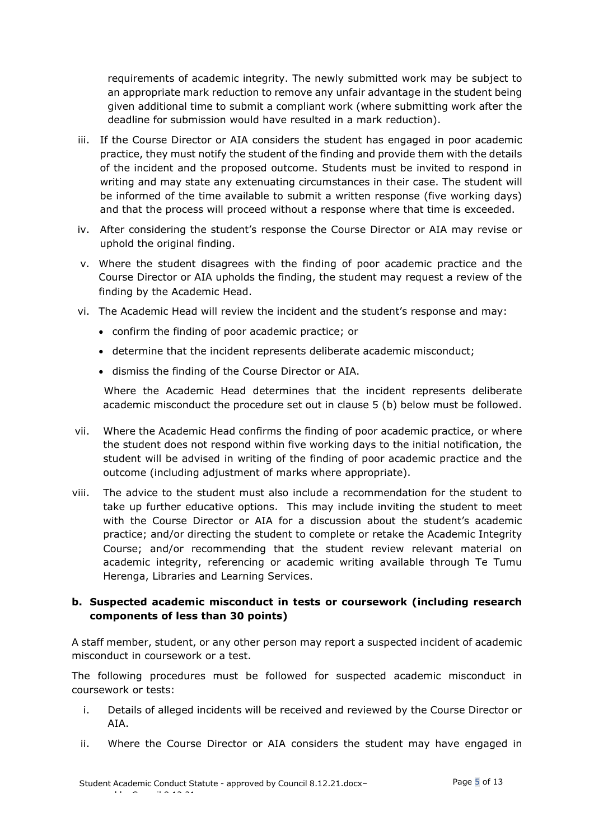requirements of academic integrity. The newly submitted work may be subject to an appropriate mark reduction to remove any unfair advantage in the student being given additional time to submit a compliant work (where submitting work after the deadline for submission would have resulted in a mark reduction).

- iii. If the Course Director or AIA considers the student has engaged in poor academic practice, they must notify the student of the finding and provide them with the details of the incident and the proposed outcome. Students must be invited to respond in writing and may state any extenuating circumstances in their case. The student will be informed of the time available to submit a written response (five working days) and that the process will proceed without a response where that time is exceeded.
- iv. After considering the student's response the Course Director or AIA may revise or uphold the original finding.
- v. Where the student disagrees with the finding of poor academic practice and the Course Director or AIA upholds the finding, the student may request a review of the finding by the Academic Head.
- vi. The Academic Head will review the incident and the student's response and may:
	- confirm the finding of poor academic practice; or
	- determine that the incident represents deliberate academic misconduct;
	- dismiss the finding of the Course Director or AIA.

Where the Academic Head determines that the incident represents deliberate academic misconduct the procedure set out in clause 5 (b) below must be followed.

- vii. Where the Academic Head confirms the finding of poor academic practice, or where the student does not respond within five working days to the initial notification, the student will be advised in writing of the finding of poor academic practice and the outcome (including adjustment of marks where appropriate).
- viii. The advice to the student must also include a recommendation for the student to take up further educative options. This may include inviting the student to meet with the Course Director or AIA for a discussion about the student's academic practice; and/or directing the student to complete or retake the Academic Integrity Course; and/or recommending that the student review relevant material on academic integrity, referencing or academic writing available through Te Tumu Herenga, Libraries and Learning Services.

# <span id="page-4-0"></span>**b. Suspected academic misconduct in tests or coursework (including research components of less than 30 points)**

A staff member, student, or any other person may report a suspected incident of academic misconduct in coursework or a test.

The following procedures must be followed for suspected academic misconduct in coursework or tests:

- i. Details of alleged incidents will be received and reviewed by the Course Director or AIA.
- ii. Where the Course Director or AIA considers the student may have engaged in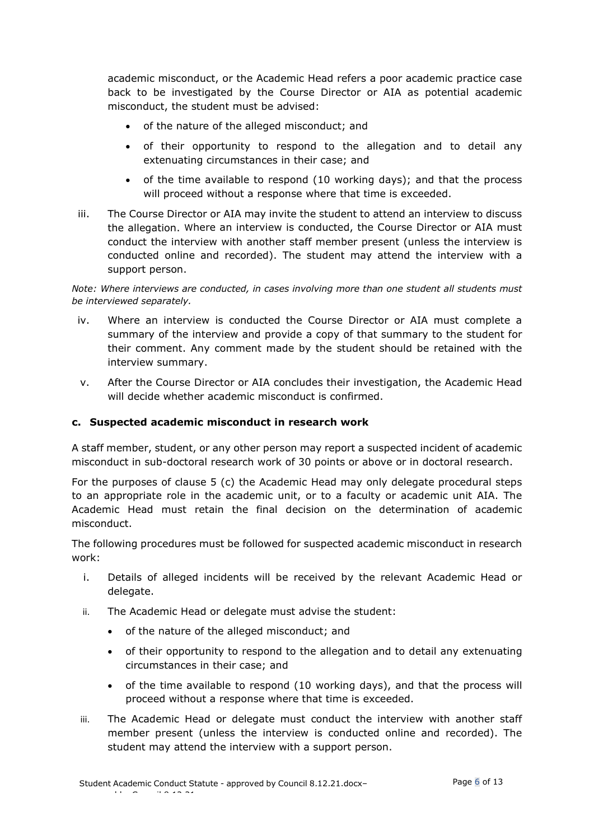academic misconduct, or the Academic Head refers a poor academic practice case back to be investigated by the Course Director or AIA as potential academic misconduct, the student must be advised:

- of the nature of the alleged misconduct; and
- of their opportunity to respond to the allegation and to detail any extenuating circumstances in their case; and
- of the time available to respond (10 working days); and that the process will proceed without a response where that time is exceeded.
- iii. The Course Director or AIA may invite the student to attend an interview to discuss the allegation. Where an interview is conducted, the Course Director or AIA must conduct the interview with another staff member present (unless the interview is conducted online and recorded). The student may attend the interview with a support person.

*Note: Where interviews are conducted, in cases involving more than one student all students must be interviewed separately.* 

- iv. Where an interview is conducted the Course Director or AIA must complete a summary of the interview and provide a copy of that summary to the student for their comment. Any comment made by the student should be retained with the interview summary.
- v. After the Course Director or AIA concludes their investigation, the Academic Head will decide whether academic misconduct is confirmed.

#### <span id="page-5-0"></span>**c. Suspected academic misconduct in research work**

A staff member, student, or any other person may report a suspected incident of academic misconduct in sub-doctoral research work of 30 points or above or in doctoral research.

For the purposes of clause 5 (c) the Academic Head may only delegate procedural steps to an appropriate role in the academic unit, or to a faculty or academic unit AIA. The Academic Head must retain the final decision on the determination of academic misconduct.

The following procedures must be followed for suspected academic misconduct in research work:

- i. Details of alleged incidents will be received by the relevant Academic Head or delegate.
- ii. The Academic Head or delegate must advise the student:
	- of the nature of the alleged misconduct; and
	- of their opportunity to respond to the allegation and to detail any extenuating circumstances in their case; and
	- of the time available to respond (10 working days), and that the process will proceed without a response where that time is exceeded.
- iii. The Academic Head or delegate must conduct the interview with another staff member present (unless the interview is conducted online and recorded). The student may attend the interview with a support person.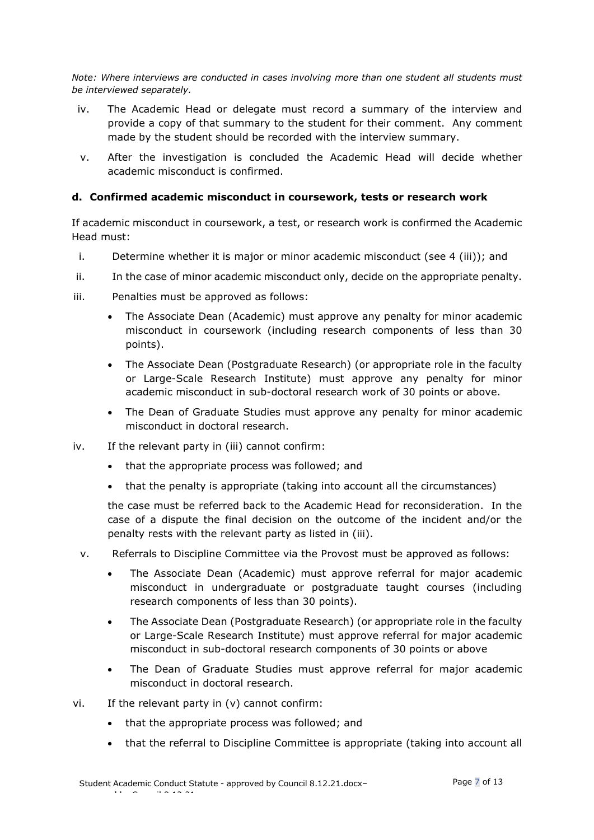*Note: Where interviews are conducted in cases involving more than one student all students must be interviewed separately.* 

- iv. The Academic Head or delegate must record a summary of the interview and provide a copy of that summary to the student for their comment. Any comment made by the student should be recorded with the interview summary.
- v. After the investigation is concluded the Academic Head will decide whether academic misconduct is confirmed.

#### <span id="page-6-0"></span>**d. Confirmed academic misconduct in coursework, tests or research work**

If academic misconduct in coursework, a test, or research work is confirmed the Academic Head must:

- i. Determine whether it is major or minor academic misconduct (see 4 (iii)); and
- ii. In the case of minor academic misconduct only, decide on the appropriate penalty.
- iii. Penalties must be approved as follows:
	- The Associate Dean (Academic) must approve any penalty for minor academic misconduct in coursework (including research components of less than 30 points).
	- The Associate Dean (Postgraduate Research) (or appropriate role in the faculty or Large-Scale Research Institute) must approve any penalty for minor academic misconduct in sub-doctoral research work of 30 points or above.
	- The Dean of Graduate Studies must approve any penalty for minor academic misconduct in doctoral research.
- iv. If the relevant party in (iii) cannot confirm:
	- that the appropriate process was followed; and
	- that the penalty is appropriate (taking into account all the circumstances)

the case must be referred back to the Academic Head for reconsideration. In the case of a dispute the final decision on the outcome of the incident and/or the penalty rests with the relevant party as listed in (iii).

- v. Referrals to Discipline Committee via the Provost must be approved as follows:
	- The Associate Dean (Academic) must approve referral for major academic misconduct in undergraduate or postgraduate taught courses (including research components of less than 30 points).
	- The Associate Dean (Postgraduate Research) (or appropriate role in the faculty or Large-Scale Research Institute) must approve referral for major academic misconduct in sub-doctoral research components of 30 points or above
	- The Dean of Graduate Studies must approve referral for major academic misconduct in doctoral research.
- vi. If the relevant party in (v) cannot confirm:
	- that the appropriate process was followed; and
	- that the referral to Discipline Committee is appropriate (taking into account all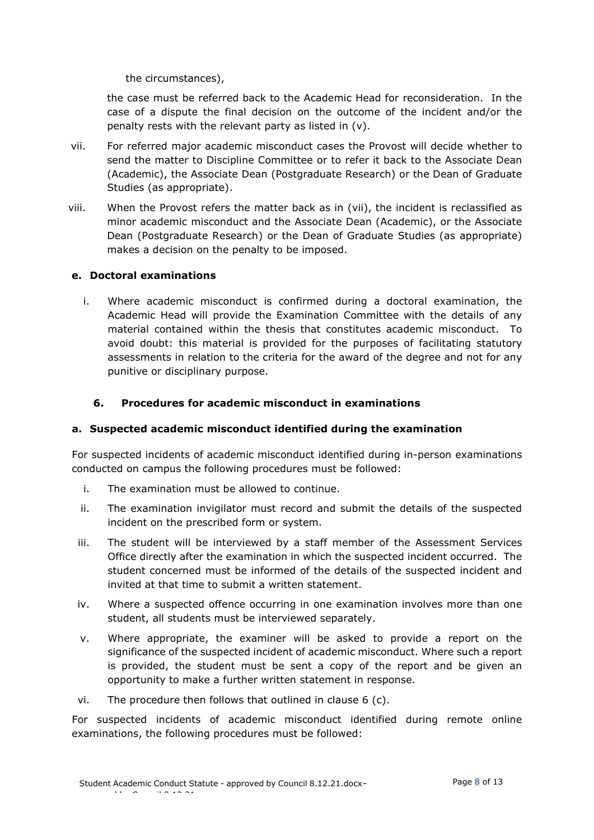the circumstances),

the case must be referred back to the Academic Head for reconsideration. In the case of a dispute the final decision on the outcome of the incident and/or the penalty rests with the relevant party as listed in (v).

- vii. For referred major academic misconduct cases the Provost will decide whether to send the matter to Discipline Committee or to refer it back to the Associate Dean (Academic), the Associate Dean (Postgraduate Research) or the Dean of Graduate Studies (as appropriate).
- viii. When the Provost refers the matter back as in (vii), the incident is reclassified as minor academic misconduct and the Associate Dean (Academic), or the Associate Dean (Postgraduate Research) or the Dean of Graduate Studies (as appropriate) makes a decision on the penalty to be imposed.

#### <span id="page-7-0"></span>**e. Doctoral examinations**

i. Where academic misconduct is confirmed during a doctoral examination, the Academic Head will provide the Examination Committee with the details of any material contained within the thesis that constitutes academic misconduct. To avoid doubt: this material is provided for the purposes of facilitating statutory assessments in relation to the criteria for the award of the degree and not for any punitive or disciplinary purpose.

# <span id="page-7-1"></span>**6. Procedures for academic misconduct in examinations**

#### <span id="page-7-2"></span>**a. Suspected academic misconduct identified during the examination**

For suspected incidents of academic misconduct identified during in-person examinations conducted on campus the following procedures must be followed:

- i. The examination must be allowed to continue.
- ii. The examination invigilator must record and submit the details of the suspected incident on the prescribed form or system.
- iii. The student will be interviewed by a staff member of the Assessment Services Office directly after the examination in which the suspected incident occurred. The student concerned must be informed of the details of the suspected incident and invited at that time to submit a written statement.
- iv. Where a suspected offence occurring in one examination involves more than one student, all students must be interviewed separately.
- v. Where appropriate, the examiner will be asked to provide a report on the significance of the suspected incident of academic misconduct. Where such a report is provided, the student must be sent a copy of the report and be given an opportunity to make a further written statement in response.
- vi. The procedure then follows that outlined in clause 6 (c).

For suspected incidents of academic misconduct identified during remote online examinations, the following procedures must be followed: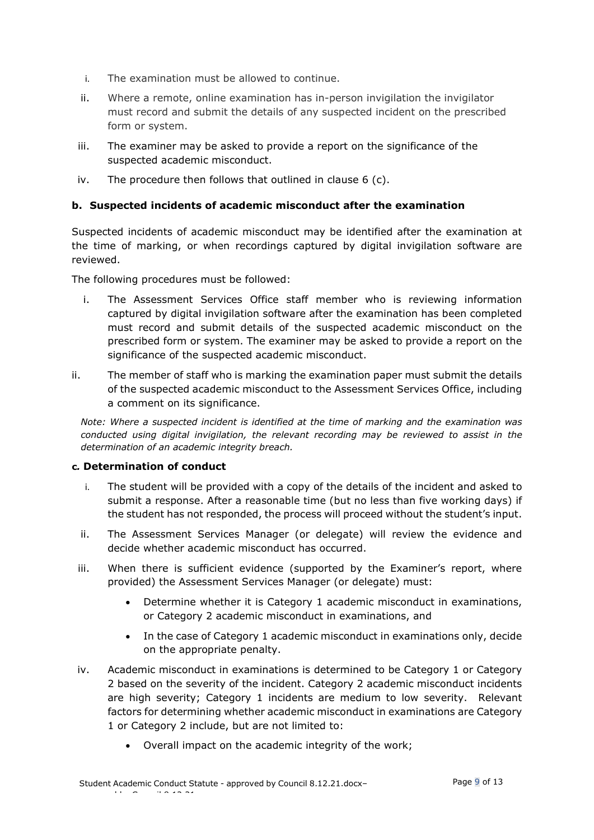- i. The examination must be allowed to continue.
- ii. Where a remote, online examination has in-person invigilation the invigilator must record and submit the details of any suspected incident on the prescribed form or system.
- iii. The examiner may be asked to provide a report on the significance of the suspected academic misconduct.
- iv. The procedure then follows that outlined in clause 6 (c).

## <span id="page-8-0"></span>**b. Suspected incidents of academic misconduct after the examination**

Suspected incidents of academic misconduct may be identified after the examination at the time of marking, or when recordings captured by digital invigilation software are reviewed.

The following procedures must be followed:

- i. The Assessment Services Office staff member who is reviewing information captured by digital invigilation software after the examination has been completed must record and submit details of the suspected academic misconduct on the prescribed form or system. The examiner may be asked to provide a report on the significance of the suspected academic misconduct.
- ii. The member of staff who is marking the examination paper must submit the details of the suspected academic misconduct to the Assessment Services Office, including a comment on its significance.

*Note: Where a suspected incident is identified at the time of marking and the examination was conducted using digital invigilation, the relevant recording may be reviewed to assist in the determination of an academic integrity breach.*

#### **c***.* **Determination of conduct**

- i. The student will be provided with a copy of the details of the incident and asked to submit a response. After a reasonable time (but no less than five working days) if the student has not responded, the process will proceed without the student's input.
- ii. The Assessment Services Manager (or delegate) will review the evidence and decide whether academic misconduct has occurred.
- iii. When there is sufficient evidence (supported by the Examiner's report, where provided) the Assessment Services Manager (or delegate) must:
	- Determine whether it is Category 1 academic misconduct in examinations, or Category 2 academic misconduct in examinations, and
	- In the case of Category 1 academic misconduct in examinations only, decide on the appropriate penalty.
- iv. Academic misconduct in examinations is determined to be Category 1 or Category 2 based on the severity of the incident. Category 2 academic misconduct incidents are high severity; Category 1 incidents are medium to low severity. Relevant factors for determining whether academic misconduct in examinations are Category 1 or Category 2 include, but are not limited to:
	- Overall impact on the academic integrity of the work;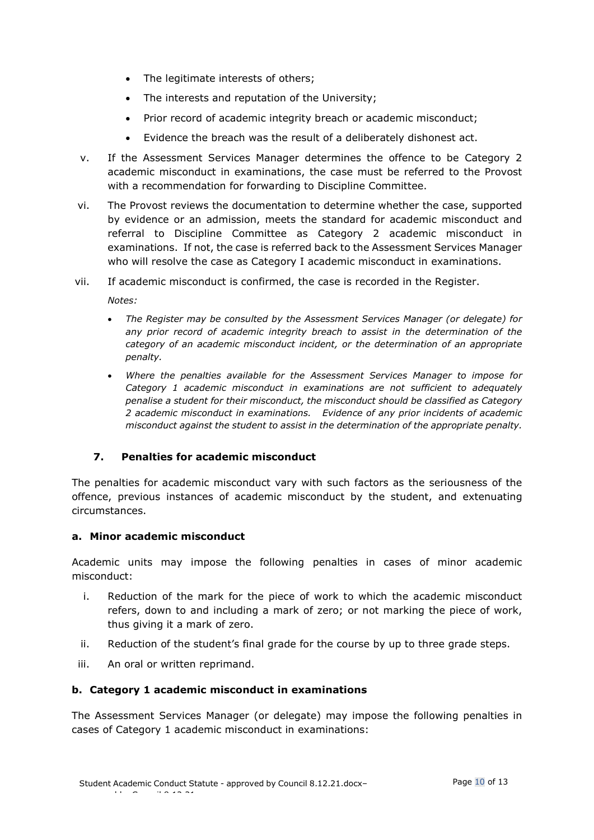- The legitimate interests of others;
- The interests and reputation of the University;
- Prior record of academic integrity breach or academic misconduct;
- Evidence the breach was the result of a deliberately dishonest act.
- v. If the Assessment Services Manager determines the offence to be Category 2 academic misconduct in examinations, the case must be referred to the Provost with a recommendation for forwarding to Discipline Committee.
- vi. The Provost reviews the documentation to determine whether the case, supported by evidence or an admission, meets the standard for academic misconduct and referral to Discipline Committee as Category 2 academic misconduct in examinations. If not, the case is referred back to the Assessment Services Manager who will resolve the case as Category I academic misconduct in examinations.
- vii. If academic misconduct is confirmed, the case is recorded in the Register.

*Notes:*

- *The Register may be consulted by the Assessment Services Manager (or delegate) for any prior record of academic integrity breach to assist in the determination of the category of an academic misconduct incident, or the determination of an appropriate penalty.*
- *Where the penalties available for the Assessment Services Manager to impose for Category 1 academic misconduct in examinations are not sufficient to adequately penalise a student for their misconduct, the misconduct should be classified as Category 2 academic misconduct in examinations. Evidence of any prior incidents of academic misconduct against the student to assist in the determination of the appropriate penalty.*

#### <span id="page-9-0"></span>**7. Penalties for academic misconduct**

The penalties for academic misconduct vary with such factors as the seriousness of the offence, previous instances of academic misconduct by the student, and extenuating circumstances.

#### <span id="page-9-1"></span>**a. Minor academic misconduct**

Academic units may impose the following penalties in cases of minor academic misconduct:

- i. Reduction of the mark for the piece of work to which the academic misconduct refers, down to and including a mark of zero; or not marking the piece of work, thus giving it a mark of zero.
- ii. Reduction of the student's final grade for the course by up to three grade steps.
- iii. An oral or written reprimand.

#### <span id="page-9-2"></span>**b. Category 1 academic misconduct in examinations**

<span id="page-9-3"></span>The Assessment Services Manager (or delegate) may impose the following penalties in cases of Category 1 academic misconduct in examinations: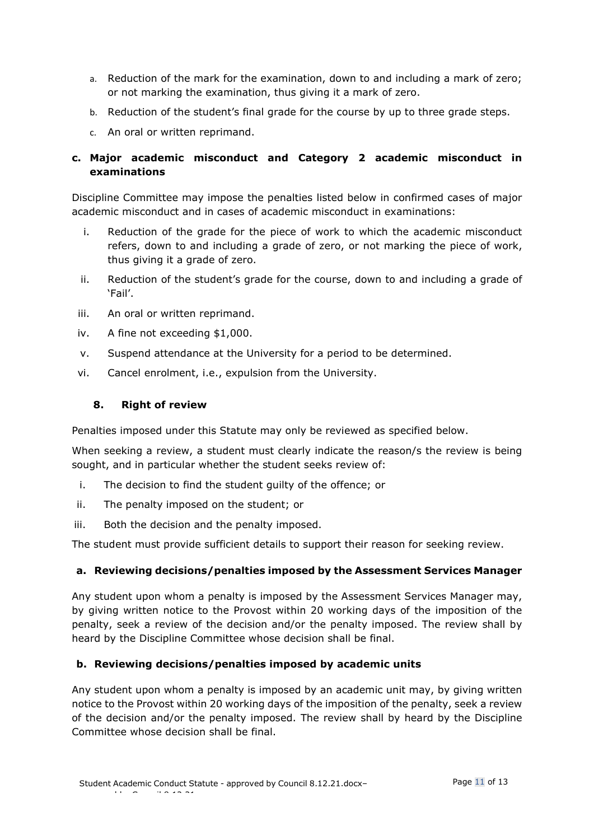- a. Reduction of the mark for the examination, down to and including a mark of zero; or not marking the examination, thus giving it a mark of zero.
- b. Reduction of the student's final grade for the course by up to three grade steps.
- c. An oral or written reprimand.

# <span id="page-10-0"></span>**c. Major academic misconduct and Category 2 academic misconduct in examinations**

Discipline Committee may impose the penalties listed below in confirmed cases of major academic misconduct and in cases of academic misconduct in examinations:

- i. Reduction of the grade for the piece of work to which the academic misconduct refers, down to and including a grade of zero, or not marking the piece of work, thus giving it a grade of zero.
- ii. Reduction of the student's grade for the course, down to and including a grade of 'Fail'.
- iii. An oral or written reprimand.
- iv. A fine not exceeding \$1,000.
- v. Suspend attendance at the University for a period to be determined.
- <span id="page-10-1"></span>vi. Cancel enrolment, i.e., expulsion from the University.

#### **8. Right of review**

Penalties imposed under this Statute may only be reviewed as specified below.

When seeking a review, a student must clearly indicate the reason/s the review is being sought, and in particular whether the student seeks review of:

- i. The decision to find the student guilty of the offence; or
- ii. The penalty imposed on the student; or
- iii. Both the decision and the penalty imposed.

The student must provide sufficient details to support their reason for seeking review.

# <span id="page-10-2"></span>**a. Reviewing decisions/penalties imposed by the Assessment Services Manager**

Any student upon whom a penalty is imposed by the Assessment Services Manager may, by giving written notice to the Provost within 20 working days of the imposition of the penalty, seek a review of the decision and/or the penalty imposed. The review shall by heard by the Discipline Committee whose decision shall be final.

# <span id="page-10-3"></span>**b. Reviewing decisions/penalties imposed by academic units**

Any student upon whom a penalty is imposed by an academic unit may, by giving written notice to the Provost within 20 working days of the imposition of the penalty, seek a review of the decision and/or the penalty imposed. The review shall by heard by the Discipline Committee whose decision shall be final.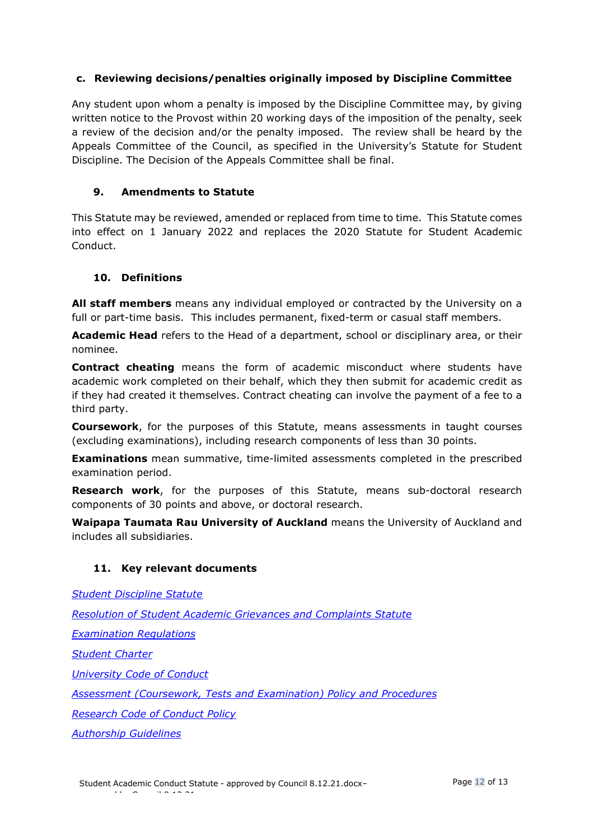# <span id="page-11-0"></span>**c. Reviewing decisions/penalties originally imposed by Discipline Committee**

Any student upon whom a penalty is imposed by the Discipline Committee may, by giving written notice to the Provost within 20 working days of the imposition of the penalty, seek a review of the decision and/or the penalty imposed. The review shall be heard by the Appeals Committee of the Council, as specified in the University's Statute for Student Discipline. The Decision of the Appeals Committee shall be final.

# <span id="page-11-1"></span>**9. Amendments to Statute**

This Statute may be reviewed, amended or replaced from time to time. This Statute comes into effect on 1 January 2022 and replaces the 2020 Statute for Student Academic Conduct.

# <span id="page-11-2"></span>**10. Definitions**

**All staff members** means any individual employed or contracted by the University on a full or part-time basis. This includes permanent, fixed-term or casual staff members.

**Academic Head** refers to the Head of a department, school or disciplinary area, or their nominee.

**Contract cheating** means the form of academic misconduct where students have academic work completed on their behalf, which they then submit for academic credit as if they had created it themselves. Contract cheating can involve the payment of a fee to a third party.

**Coursework**, for the purposes of this Statute, means assessments in taught courses (excluding examinations), including research components of less than 30 points.

**Examinations** mean summative, time-limited assessments completed in the prescribed examination period.

**Research work**, for the purposes of this Statute, means sub-doctoral research components of 30 points and above, or doctoral research.

**Waipapa Taumata Rau University of Auckland** means the University of Auckland and includes all subsidiaries.

#### <span id="page-11-3"></span>**11. Key relevant documents**

*[Student Discipline Statute](https://www.auckland.ac.nz/en/about/the-university/how-university-works/policy-and-administration/teaching-and-learning/students/statute-student-discipline.html) [Resolution of Student Academic Grievances and Complaints Statute](https://www.auckland.ac.nz/en/about/the-university/how-university-works/policy-and-administration/teaching-and-learning/students/resolution-disputes-statute.html) [Examination Regulations](https://www.calendar.auckland.ac.nz/en/genregs/examination.html) [Student Charter](https://www.auckland.ac.nz/en/students/forms-policies-and-guidelines/student-policies-and-guidelines/student-charter.html) [University Code of Conduct](https://www.auckland.ac.nz/en/on-campus/life-on-campus/code-of-conduct.html) [Assessment \(Coursework, Tests and Examination\) Policy and Procedures](https://www.auckland.ac.nz/en/about/the-university/how-university-works/policy-and-administration/teaching-and-learning/assessment.html) [Research Code of Conduct Policy](https://cdn.auckland.ac.nz/assets/central/about/the-university/how-the-university-works/policy-and-administration/code-of-conduct-research.pdf)*

*[Authorship Guidelines](https://www.auckland.ac.nz/en/about/the-university/how-university-works/policy-and-administration/teaching-and-learning/students/authorship-guidelines.html)*